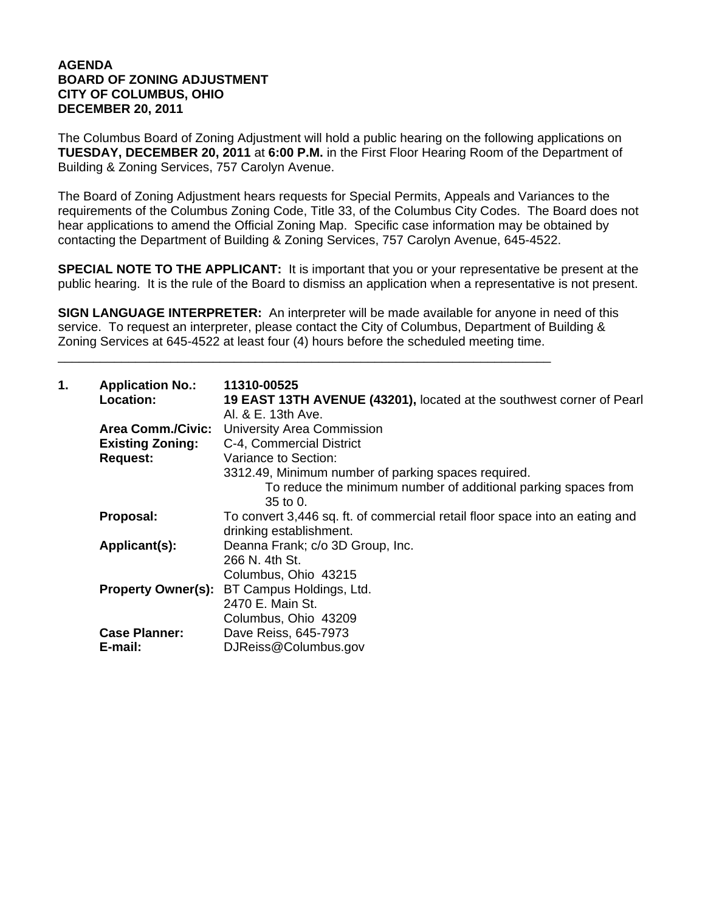## **AGENDA BOARD OF ZONING ADJUSTMENT CITY OF COLUMBUS, OHIO DECEMBER 20, 2011**

The Columbus Board of Zoning Adjustment will hold a public hearing on the following applications on **TUESDAY, DECEMBER 20, 2011** at **6:00 P.M.** in the First Floor Hearing Room of the Department of Building & Zoning Services, 757 Carolyn Avenue.

The Board of Zoning Adjustment hears requests for Special Permits, Appeals and Variances to the requirements of the Columbus Zoning Code, Title 33, of the Columbus City Codes. The Board does not hear applications to amend the Official Zoning Map. Specific case information may be obtained by contacting the Department of Building & Zoning Services, 757 Carolyn Avenue, 645-4522.

**SPECIAL NOTE TO THE APPLICANT:** It is important that you or your representative be present at the public hearing. It is the rule of the Board to dismiss an application when a representative is not present.

**SIGN LANGUAGE INTERPRETER:** An interpreter will be made available for anyone in need of this service. To request an interpreter, please contact the City of Columbus, Department of Building & Zoning Services at 645-4522 at least four (4) hours before the scheduled meeting time.

\_\_\_\_\_\_\_\_\_\_\_\_\_\_\_\_\_\_\_\_\_\_\_\_\_\_\_\_\_\_\_\_\_\_\_\_\_\_\_\_\_\_\_\_\_\_\_\_\_\_\_\_\_\_\_\_\_\_\_\_\_\_\_\_\_\_\_\_\_\_

| 1. | <b>Application No.:</b><br>Location:                                   | 11310-00525<br>19 EAST 13TH AVENUE (43201), located at the southwest corner of Pearl<br>Al. & E. 13th Ave.                                                                                                     |
|----|------------------------------------------------------------------------|----------------------------------------------------------------------------------------------------------------------------------------------------------------------------------------------------------------|
|    | <b>Area Comm./Civic:</b><br><b>Existing Zoning:</b><br><b>Request:</b> | <b>University Area Commission</b><br>C-4, Commercial District<br>Variance to Section:<br>3312.49, Minimum number of parking spaces required.<br>To reduce the minimum number of additional parking spaces from |
|    |                                                                        | $35$ to 0.                                                                                                                                                                                                     |
|    | Proposal:                                                              | To convert 3,446 sq. ft. of commercial retail floor space into an eating and<br>drinking establishment.                                                                                                        |
|    | Applicant(s):                                                          | Deanna Frank; c/o 3D Group, Inc.<br>266 N. 4th St.<br>Columbus, Ohio 43215                                                                                                                                     |
|    | <b>Property Owner(s):</b>                                              | BT Campus Holdings, Ltd.<br>2470 E. Main St.<br>Columbus, Ohio 43209                                                                                                                                           |
|    | <b>Case Planner:</b><br>E-mail:                                        | Dave Reiss, 645-7973<br>DJReiss@Columbus.gov                                                                                                                                                                   |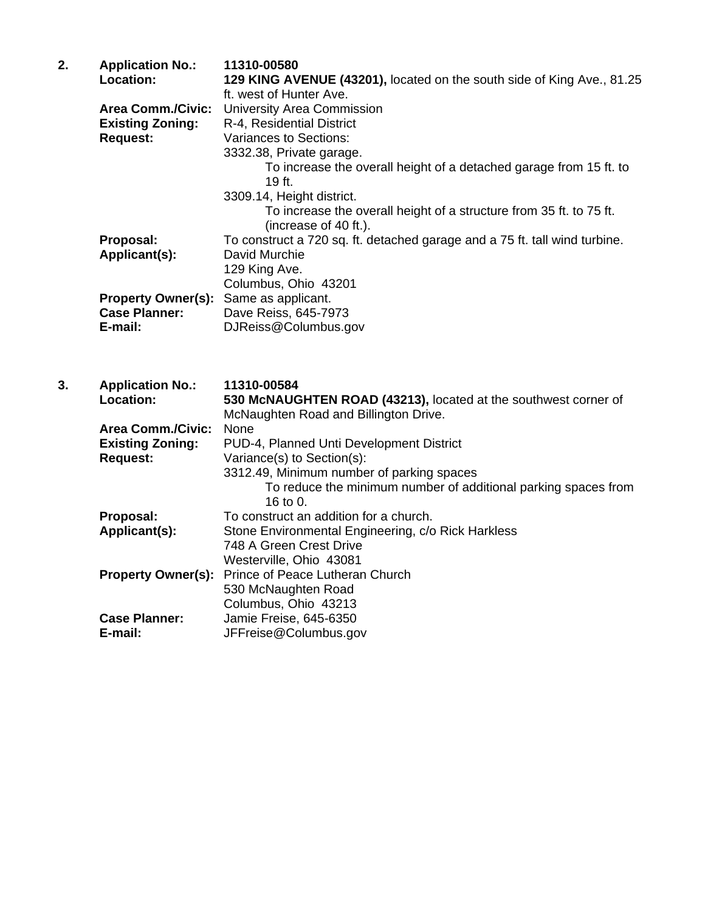| 2. | <b>Application No.:</b><br>Location:<br><b>Area Comm./Civic:</b><br><b>Existing Zoning:</b> | 11310-00580<br>129 KING AVENUE (43201), located on the south side of King Ave., 81.25<br>ft. west of Hunter Ave.<br>University Area Commission<br>R-4, Residential District |
|----|---------------------------------------------------------------------------------------------|-----------------------------------------------------------------------------------------------------------------------------------------------------------------------------|
|    | <b>Request:</b>                                                                             | <b>Variances to Sections:</b><br>3332.38, Private garage.<br>To increase the overall height of a detached garage from 15 ft. to<br>19 ft.<br>3309.14, Height district.      |
|    |                                                                                             | To increase the overall height of a structure from 35 ft. to 75 ft.<br>(increase of 40 ft.).                                                                                |
|    | Proposal:<br>Applicant(s):                                                                  | To construct a 720 sq. ft. detached garage and a 75 ft. tall wind turbine.<br>David Murchie<br>129 King Ave.<br>Columbus, Ohio 43201                                        |
|    | <b>Property Owner(s):</b><br><b>Case Planner:</b><br>E-mail:                                | Same as applicant.<br>Dave Reiss, 645-7973<br>DJReiss@Columbus.gov                                                                                                          |
|    |                                                                                             |                                                                                                                                                                             |
| 3. | <b>Application No.:</b><br>Location:                                                        | 11310-00584<br>530 McNAUGHTEN ROAD (43213), located at the southwest corner of<br>McNaughten Road and Billington Drive.                                                     |
|    | <b>Area Comm./Civic:</b><br><b>Existing Zoning:</b>                                         | None<br>PUD-4, Planned Unti Development District                                                                                                                            |
|    | <b>Request:</b>                                                                             | Variance(s) to Section(s):                                                                                                                                                  |
|    |                                                                                             | 3312.49, Minimum number of parking spaces<br>To reduce the minimum number of additional parking spaces from                                                                 |
|    | Proposal:<br>Applicant(s):                                                                  | 16 to $0.$<br>To construct an addition for a church.<br>Stone Environmental Engineering, c/o Rick Harkless<br>748 A Green Crest Drive                                       |
|    | <b>Property Owner(s):</b>                                                                   | Westerville, Ohio 43081<br>Prince of Peace Lutheran Church<br>530 McNaughten Road<br>Columbus, Ohio 43213                                                                   |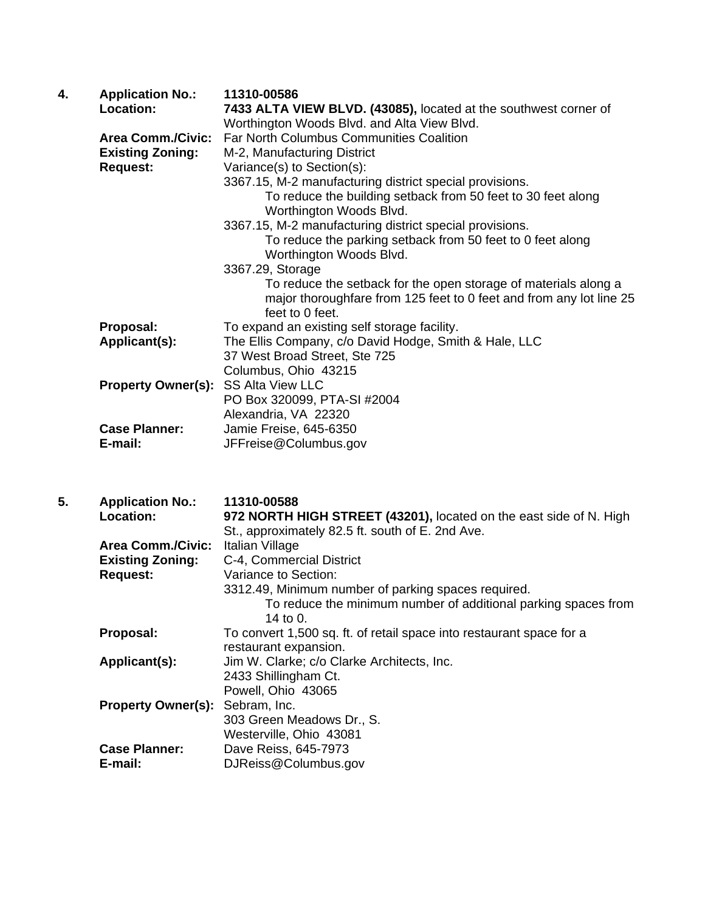| 4. | <b>Application No.:</b>   | 11310-00586                                                         |
|----|---------------------------|---------------------------------------------------------------------|
|    | <b>Location:</b>          | 7433 ALTA VIEW BLVD. (43085), located at the southwest corner of    |
|    |                           | Worthington Woods Blvd. and Alta View Blvd.                         |
|    | <b>Area Comm./Civic:</b>  | <b>Far North Columbus Communities Coalition</b>                     |
|    | <b>Existing Zoning:</b>   | M-2, Manufacturing District                                         |
|    | <b>Request:</b>           | Variance(s) to Section(s):                                          |
|    |                           | 3367.15, M-2 manufacturing district special provisions.             |
|    |                           | To reduce the building setback from 50 feet to 30 feet along        |
|    |                           | Worthington Woods Blvd.                                             |
|    |                           | 3367.15, M-2 manufacturing district special provisions.             |
|    |                           | To reduce the parking setback from 50 feet to 0 feet along          |
|    |                           | Worthington Woods Blvd.                                             |
|    |                           | 3367.29, Storage                                                    |
|    |                           | To reduce the setback for the open storage of materials along a     |
|    |                           | major thoroughfare from 125 feet to 0 feet and from any lot line 25 |
|    |                           | feet to 0 feet.                                                     |
|    | Proposal:                 | To expand an existing self storage facility.                        |
|    | Applicant(s):             | The Ellis Company, c/o David Hodge, Smith & Hale, LLC               |
|    |                           | 37 West Broad Street, Ste 725                                       |
|    |                           | Columbus, Ohio 43215                                                |
|    | <b>Property Owner(s):</b> | <b>SS Alta View LLC</b>                                             |
|    |                           | PO Box 320099, PTA-SI #2004                                         |
|    |                           | Alexandria, VA 22320                                                |
|    | <b>Case Planner:</b>      | Jamie Freise, 645-6350                                              |
|    | E-mail:                   | JFFreise@Columbus.gov                                               |

| 5. | <b>Application No.:</b>                | 11310-00588                                                                |
|----|----------------------------------------|----------------------------------------------------------------------------|
|    | Location:                              | 972 NORTH HIGH STREET (43201), located on the east side of N. High         |
|    |                                        | St., approximately 82.5 ft. south of E. 2nd Ave.                           |
|    | <b>Area Comm./Civic:</b>               | Italian Village                                                            |
|    | <b>Existing Zoning:</b>                | C-4, Commercial District                                                   |
|    | <b>Request:</b>                        | Variance to Section:                                                       |
|    |                                        | 3312.49, Minimum number of parking spaces required.                        |
|    |                                        | To reduce the minimum number of additional parking spaces from<br>14 to 0. |
|    | Proposal:                              | To convert 1,500 sq. ft. of retail space into restaurant space for a       |
|    |                                        | restaurant expansion.                                                      |
|    | Applicant(s):                          | Jim W. Clarke; c/o Clarke Architects, Inc.                                 |
|    |                                        | 2433 Shillingham Ct.                                                       |
|    |                                        | Powell, Ohio 43065                                                         |
|    | <b>Property Owner(s): Sebram, Inc.</b> |                                                                            |
|    |                                        | 303 Green Meadows Dr., S.                                                  |
|    |                                        | Westerville, Ohio 43081                                                    |
|    | <b>Case Planner:</b>                   | Dave Reiss, 645-7973                                                       |
|    | E-mail:                                | DJReiss@Columbus.gov                                                       |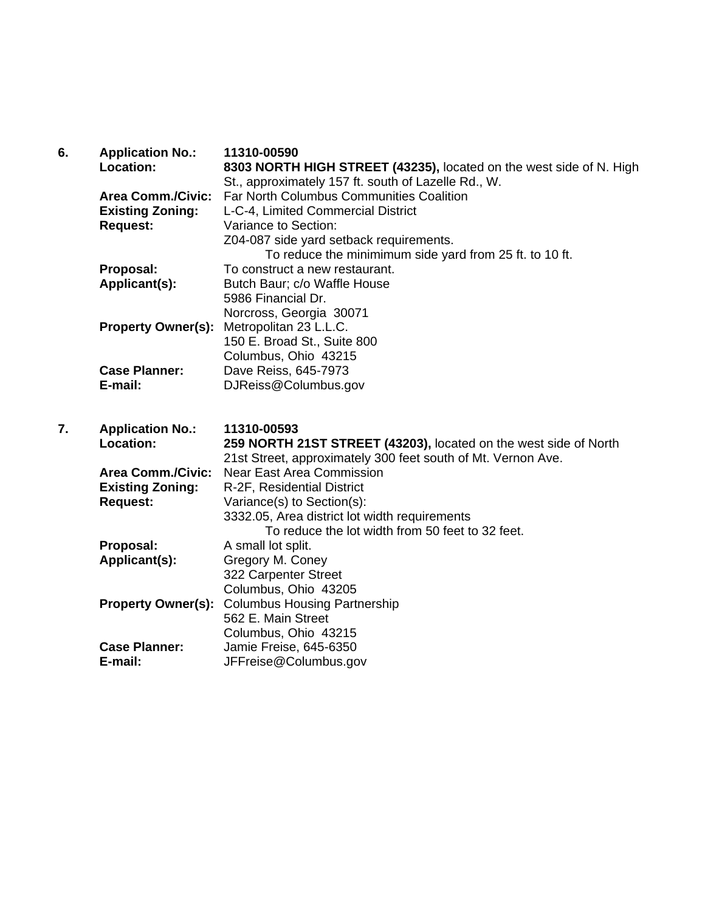| 6. | <b>Application No.:</b><br>Location: | 11310-00590<br>8303 NORTH HIGH STREET (43235), located on the west side of N. High<br>St., approximately 157 ft. south of Lazelle Rd., W. |
|----|--------------------------------------|-------------------------------------------------------------------------------------------------------------------------------------------|
|    | <b>Area Comm./Civic:</b>             | <b>Far North Columbus Communities Coalition</b>                                                                                           |
|    | <b>Existing Zoning:</b>              | L-C-4, Limited Commercial District                                                                                                        |
|    | <b>Request:</b>                      | Variance to Section:                                                                                                                      |
|    |                                      | Z04-087 side yard setback requirements.                                                                                                   |
|    |                                      | To reduce the minimimum side yard from 25 ft. to 10 ft.                                                                                   |
|    | Proposal:                            | To construct a new restaurant.                                                                                                            |
|    | Applicant(s):                        | Butch Baur; c/o Waffle House<br>5986 Financial Dr.                                                                                        |
|    |                                      | Norcross, Georgia 30071                                                                                                                   |
|    | <b>Property Owner(s):</b>            | Metropolitan 23 L.L.C.                                                                                                                    |
|    |                                      | 150 E. Broad St., Suite 800                                                                                                               |
|    |                                      | Columbus, Ohio 43215                                                                                                                      |
|    | <b>Case Planner:</b>                 | Dave Reiss, 645-7973                                                                                                                      |
|    | E-mail:                              | DJReiss@Columbus.gov                                                                                                                      |
|    |                                      |                                                                                                                                           |
| 7. | <b>Application No.:</b>              | 11310-00593                                                                                                                               |
|    |                                      |                                                                                                                                           |
|    |                                      |                                                                                                                                           |
|    | Location:                            | 259 NORTH 21ST STREET (43203), located on the west side of North                                                                          |
|    | <b>Area Comm./Civic:</b>             | 21st Street, approximately 300 feet south of Mt. Vernon Ave.<br><b>Near East Area Commission</b>                                          |
|    | <b>Existing Zoning:</b>              | R-2F, Residential District                                                                                                                |
|    | <b>Request:</b>                      | Variance(s) to Section(s):                                                                                                                |
|    |                                      | 3332.05, Area district lot width requirements                                                                                             |
|    |                                      | To reduce the lot width from 50 feet to 32 feet.                                                                                          |
|    | Proposal:                            | A small lot split.                                                                                                                        |
|    | Applicant(s):                        | Gregory M. Coney                                                                                                                          |
|    |                                      | 322 Carpenter Street                                                                                                                      |
|    |                                      | Columbus, Ohio 43205                                                                                                                      |
|    | <b>Property Owner(s):</b>            | <b>Columbus Housing Partnership</b>                                                                                                       |
|    |                                      | 562 E. Main Street                                                                                                                        |
|    | <b>Case Planner:</b>                 | Columbus, Ohio 43215<br>Jamie Freise, 645-6350                                                                                            |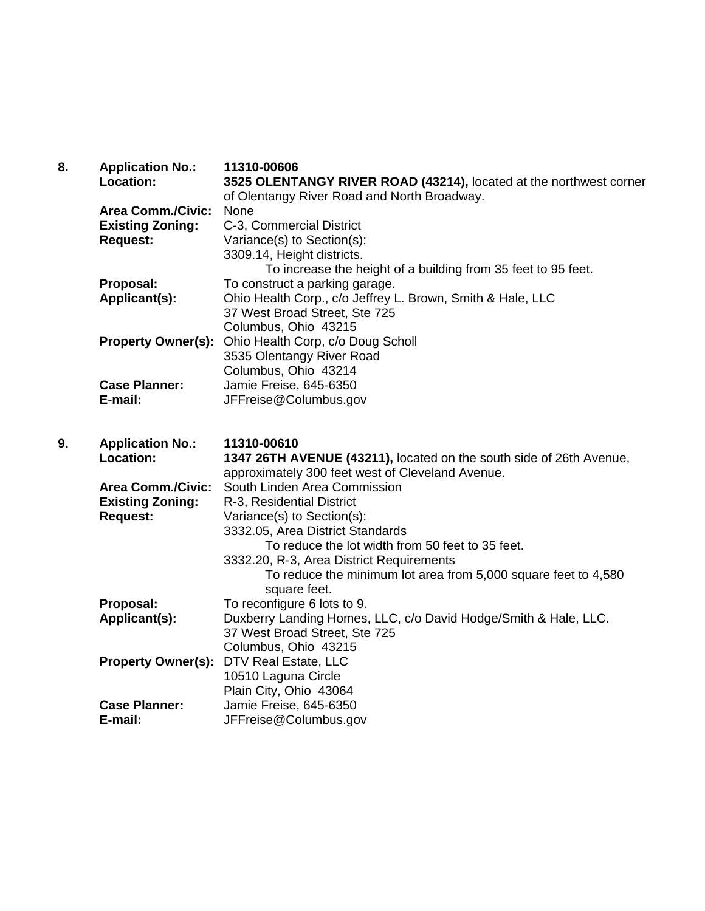| 8. | <b>Application No.:</b>   | 11310-00606                                                         |
|----|---------------------------|---------------------------------------------------------------------|
|    | <b>Location:</b>          | 3525 OLENTANGY RIVER ROAD (43214), located at the northwest corner  |
|    |                           | of Olentangy River Road and North Broadway.                         |
|    | <b>Area Comm./Civic:</b>  | None                                                                |
|    | <b>Existing Zoning:</b>   | C-3, Commercial District                                            |
|    | <b>Request:</b>           | Variance(s) to Section(s):                                          |
|    |                           | 3309.14, Height districts.                                          |
|    |                           | To increase the height of a building from 35 feet to 95 feet.       |
|    | Proposal:                 | To construct a parking garage.                                      |
|    | Applicant(s):             | Ohio Health Corp., c/o Jeffrey L. Brown, Smith & Hale, LLC          |
|    |                           | 37 West Broad Street, Ste 725                                       |
|    |                           | Columbus, Ohio 43215                                                |
|    | <b>Property Owner(s):</b> | Ohio Health Corp, c/o Doug Scholl                                   |
|    |                           | 3535 Olentangy River Road                                           |
|    |                           | Columbus, Ohio 43214                                                |
|    | <b>Case Planner:</b>      | Jamie Freise, 645-6350                                              |
|    | E-mail:                   | JFFreise@Columbus.gov                                               |
|    |                           |                                                                     |
| 9. | <b>Application No.:</b>   | 11310-00610                                                         |
|    | Location:                 | 1347 26TH AVENUE (43211), located on the south side of 26th Avenue, |
|    |                           | approximately 300 feet west of Cleveland Avenue.                    |
|    | <b>Area Comm./Civic:</b>  | South Linden Area Commission                                        |
|    | <b>Existing Zoning:</b>   | R-3, Residential District                                           |
|    | <b>Request:</b>           | Variance(s) to Section(s):                                          |
|    |                           | 3332.05, Area District Standards                                    |
|    |                           | To reduce the lot width from 50 feet to 35 feet.                    |
|    |                           | 3332.20, R-3, Area District Requirements                            |
|    |                           | To reduce the minimum lot area from 5,000 square feet to 4,580      |
|    |                           | square feet.                                                        |
|    | Proposal:                 | To reconfigure 6 lots to 9.                                         |
|    | Applicant(s):             | Duxberry Landing Homes, LLC, c/o David Hodge/Smith & Hale, LLC.     |
|    |                           | 37 West Broad Street, Ste 725                                       |
|    |                           | Columbus, Ohio 43215                                                |
|    | <b>Property Owner(s):</b> | DTV Real Estate, LLC                                                |
|    |                           | 10510 Laguna Circle                                                 |
|    |                           | Plain City, Ohio 43064                                              |
|    | <b>Case Planner:</b>      | Jamie Freise, 645-6350                                              |
|    | E-mail:                   | JFFreise@Columbus.gov                                               |
|    |                           |                                                                     |